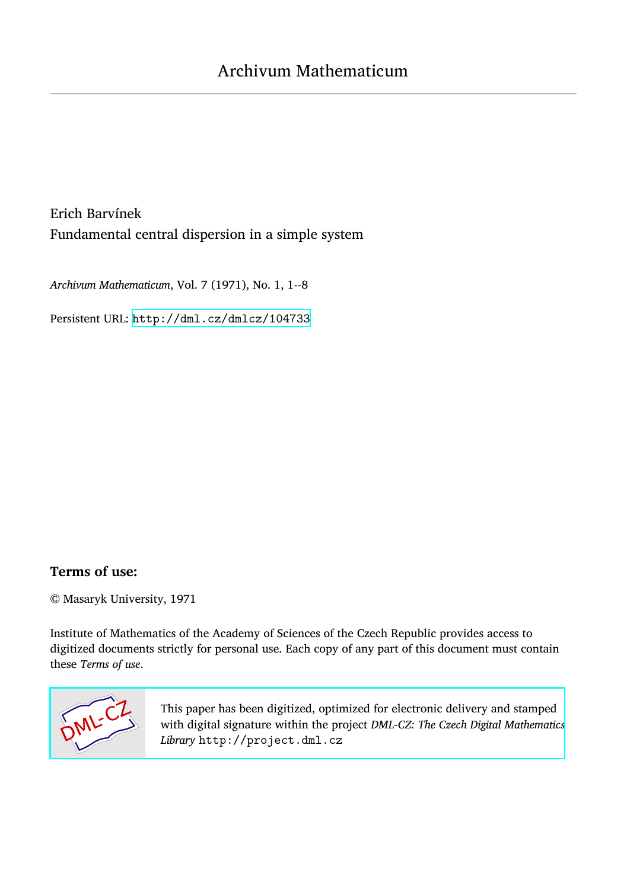Erich Barvínek Fundamental central dispersion in a simple system

*Archivum Mathematicum*, Vol. 7 (1971), No. 1, 1--8

Persistent URL: <http://dml.cz/dmlcz/104733>

## **Terms of use:**

© Masaryk University, 1971

Institute of Mathematics of the Academy of Sciences of the Czech Republic provides access to digitized documents strictly for personal use. Each copy of any part of this document must contain these *Terms of use*.



[This paper has been digitized, optimized for electronic delivery and stamped](http://project.dml.cz) with digital signature within the project *DML-CZ: The Czech Digital Mathematics Library* http://project.dml.cz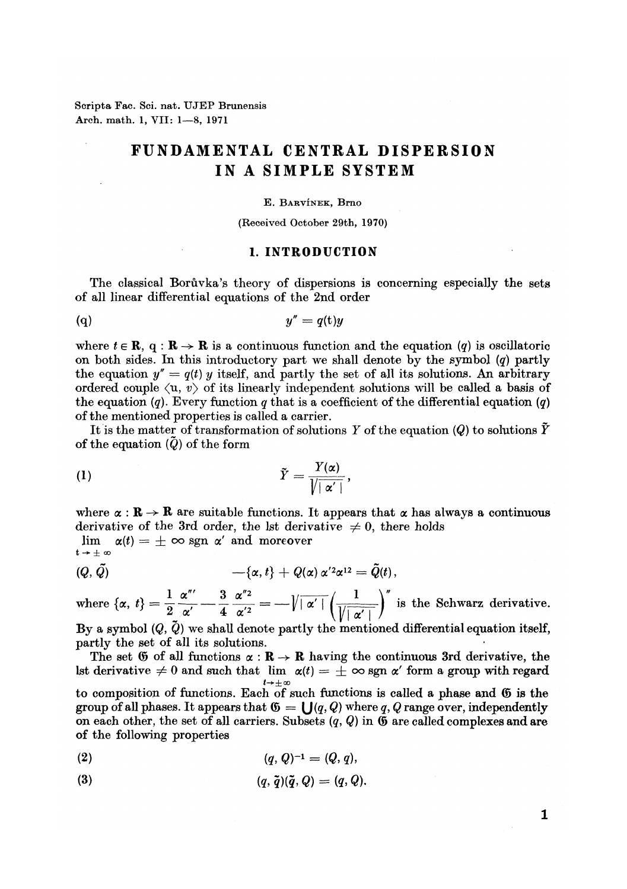**Scripta Fac. Sci. nat. UJEP Brunensis Arch. math. 1, VII: 1—8, 1971** 

# **FUNDAMEN**T**AL CENTRAL DISPE**R**SION IN A SIMPLE SYS**T**EM**

#### E. BARVINEK, Brno

#### (Received October 29th, 1970*)*

### 1. INTRODUCTION

The classical Borůvka's theory of dispersions is concerning especially the sets of all linear differential equations of the 2nd order

$$
(q) \t\t y'' = q(t)y
$$

where  $t \in \mathbb{R}$ , q:  $\mathbb{R} \to \mathbb{R}$  is a continuous function and the equation *(q)* is oscillatoric on both sides. In this introductory part we shall denote by the symbol *(q)* partly the equation  $y'' = q(t)$  y itself, and partly the set of all its solutions. An arbitrary ordered couple  $\langle u, v \rangle$  of its linearly independent solutions will be called a basis of the equation  $(q)$ . Every function q that is a coefficient of the differential equation  $(q)$ of the mentioned properties is called a carrier*.* 

It is the matter of transformation of solutions *Y* of the equation *(Q)* to solutions *Y*  of the equation  $\tilde{Q}$  of the form

$$
\tilde{Y} = \frac{Y(\alpha)}{\sqrt{|\alpha'|}},
$$

where  $\alpha : \mathbb{R} \to \mathbb{R}$  are suitable functions. It appears that  $\alpha$  has always a continuous derivative of the 3rd order, the lst derivative  $\neq$  0, there holds

 $\lim_{t\to\pm\infty} \alpha(t) = \pm \infty$  sgn  $\alpha'$  and moreover

$$
(\mathcal{Q},\tilde{\mathcal{Q}})\qquad \qquad -\{\alpha,t\}+\mathcal{Q}(\alpha)\,\alpha^{\prime 2}\alpha^{12}=\tilde{\mathcal{Q}}(t)\,,
$$

where  $\{\alpha, t\} = \frac{1}{2} \frac{\alpha'''}{\alpha'} - \frac{3}{4} \frac{\alpha''^2}{\alpha'^2} = -\sqrt{|\alpha'|} \left(\frac{1}{\sqrt{|\alpha'|}}\right)''$  is the Schwarz derivative.

By a symbol *(Q, Q)* we shall denote partly the mentioned differential equation itself, partly the set of all its solutions.

The set  $\mathfrak G$  of all functions  $\alpha : \mathbb{R} \to \mathbb{R}$  having the continuous 3rd derivative, the 1st derivative  $\neq 0$  and such that lim  $\alpha(t) = \pm \infty$  sgn  $\alpha'$  form a group with regard  $t\rightarrow \pm \infty$ to composition of functions. Each of such functions is called a phase and © is the group of all phases. It appears that  $\mathfrak{G} = \bigcup (q, Q)$  where q, Q range over, independently on each other, the set of all carriers. Subsets *(q, Q)* in © are called complexes and are

$$
(2) \t\t (q, Q)^{-1} = (Q, q),
$$

of the following properties

(3) 
$$
(q, \tilde{q})(\tilde{q}, Q) = (q, Q).
$$

1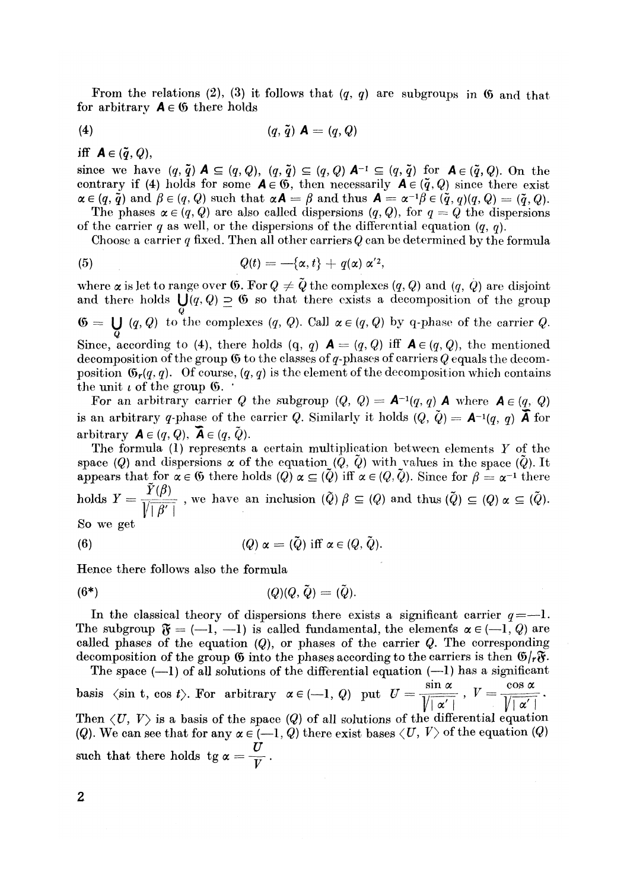From the relations (2), (3) it follows that  $(q, q)$  are subgroups in 6 and that for arbitrary  $A \in \mathfrak{G}$  there holds

$$
(4) \qquad \qquad (q, \tilde{q}) \mathbf{A} = (q, Q)
$$

iff  $A \in (\tilde{q}, Q)$ ,

since we have  $(q, \tilde{q}) \blacktriangle \subseteq (q, Q), (q, \tilde{q}) \subseteq (q, Q) \blacktriangle^{-1} \subseteq (q, \tilde{q})$  for  $\blacktriangle \in (\tilde{q}, Q)$ . On the contrary if (4) holds for some  $A \in \mathfrak{G}$ , then necessarily  $A \in (\tilde{q},Q)$  since there exist  $\alpha \in (q, \tilde{q}) \text{ and } \beta \in (q, Q) \text{ such that } \alpha \mathcal{A} = \beta \text{ and thus } \mathcal{A} = \alpha^{-1} \beta \in (\tilde{q}, q)(q, Q) = (\tilde{q}, Q).$ The phases  $\alpha \in (q, Q)$  are also called dispersions  $(q, Q)$ , for  $q = Q$  the dispersions

of the carrier q as well, or the dispersions of the differential equation  $(q, q)$ .

Choose a carrier  $q$  fixed. Then all other carriers  $Q$  can be determined by the formula

(5) 
$$
Q(t) = -\{\alpha, t\} + q(\alpha) \alpha'^2,
$$

where  $\alpha$  is let to range over 6. For  $Q \neq \tilde{Q}$  the complexes  $(q, Q)$  and  $(q, Q)$  are disjoint and there holds  $\bigcup (q, Q) \supseteq 6$  so that there exists a decomposition of the group  $\mathfrak{G} = \bigcup_{Q} (q, Q)$  to the complexes  $(q, Q)$ . Call  $\alpha \in (q, Q)$  by q-phase of the carrier  $Q$ . Since, according to (4), there holds (q, q)  $A = (q, Q)$  iff  $A \in (q, Q)$ , the mentioned decomposition of the group © to the classes of g-phases of carriers *Q* equals the decomposition  $\mathfrak{G}_r(q,q)$ . Of course,  $(q,q)$  is the element of the decomposition which contains the unit  $\iota$  of the group  $\mathfrak{G}$ .

For an arbitrary carrier Q the subgroup  $(Q, Q) = A^{-1}(q, q)$  A where  $A \in (q, Q)$ is an arbitrary q-phase of the carrier Q. Similarly it holds  $(Q, Q) = \mathbf{A}^{-1}(q, q)$  **A** for arbitrary  $\mathbf{A} \in (q, Q)$ ,  $\mathbf{\bar{A}} \in (q, \tilde{Q})$ .

The formula (1) represents a certain multiplication between elements *Y* of the space *(Q)* and dispersions  $\alpha$  of the equation *(Q,*  $\tilde{Q}$ *)* with values in the space  $(\tilde{Q})$ . It appears that for  $\alpha \in \mathfrak{G}$  there holds  $(Q)$   $\alpha \subseteq (Q)$  iff  $\alpha \in (Q, Q)$ . Since for  $\beta = \alpha^{-1}$  there holds  $Y = \frac{P(\mathcal{V})}{\sqrt{P(\mathcal{V})}}$ , we have an inclusion  $(\tilde{Q}) \beta \subseteq (Q)$  and thus  $(\tilde{Q}) \subseteq (Q) \alpha \subseteq (\tilde{Q})$ . So we get

(6) 
$$
(Q) \alpha = (\tilde{Q}) \text{ iff } \alpha \in (Q, \tilde{Q}).
$$

Hence there follows also the formula

$$
(6^*)\qquad \qquad (Q)(Q,\tilde{Q})=(\tilde{Q}).
$$

In the classical theory of dispersions there exists a significant carrier  $q = -1$ . The subgroup  $\mathfrak{F}=(-1, -1)$  is called fundamental, the elements  $\alpha \in (-1, Q)$  are called phases of the equation *(Q),* or phases of the carrier *Q.* The corresponding decomposition of the group  $\mathfrak G$  into the phases according to the carriers is then  $\mathfrak G$ /r $\mathfrak F$ .

The space  $(-1)$  of all solutions of the differential equation  $(-1)$  has a significant basis  $\langle \sin t, \cos t \rangle$ . For arbitrary  $\alpha \in (-1, Q)$  put  $U = \frac{\sin \alpha}{\sqrt{1 - \alpha^2}}$ ,  $V = \frac{\cos \alpha}{\sqrt{1 - \alpha^2}}$ .  $\sqrt{|\alpha'|}$   $\sqrt{|\alpha'|}$ Then  $\langle U, V \rangle$  is a basis of the space  $(Q)$  of all solutions of the differential equation *(Q).* We can see that for any  $\alpha \in (-1, Q)$  there exist bases  $\langle U, V \rangle$  of the equation *(Q) U*  such that there helds tg a  $V$   $\cdot$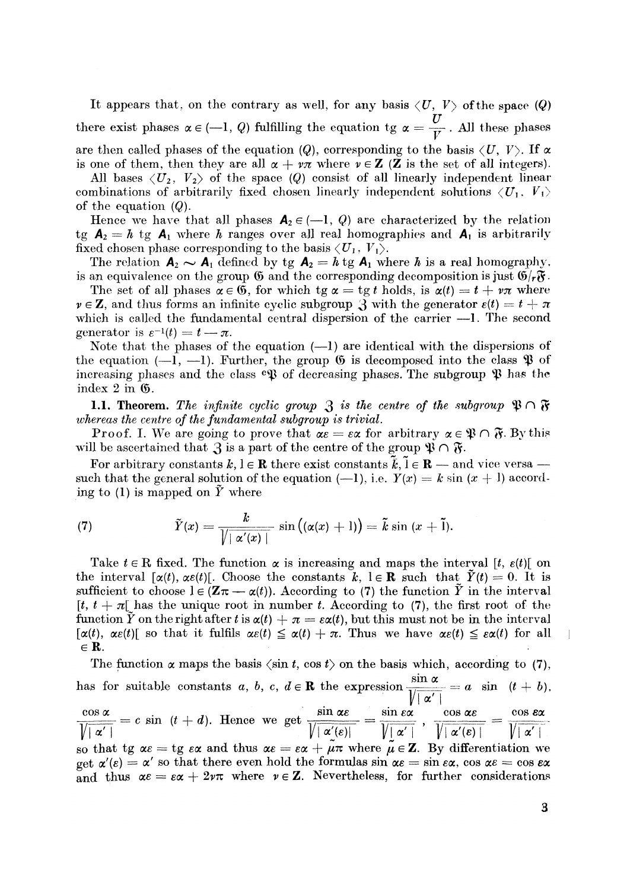It appears that, on the contrary as well, for any basis  $\langle U, V \rangle$  of the space  $\langle Q \rangle$ there exist phases  $\alpha \in (-1, Q)$  fulfilling the equation tg  $\alpha = \frac{U}{V}$ . All these phases are then called phases of the equation *(Q)*, corresponding to the basis  $\langle U, V \rangle$ . If  $\alpha$ is one of them, then they are all  $\alpha + \nu \pi$  where  $\nu \in \mathbb{Z}$  (**Z** is the set of all integers).

All bases  $\langle U_2, V_2 \rangle$  of the space (Q) consist of all linearly independent linear combinations of arbitrarily fixed chosen linearly independent solutions  $\langle U_1, V_1 \rangle$ of the equation *(Q).* 

Hence we have that all phases  $A_2 \in (-1, Q)$  are characterized by the relation tg  $A_2 = h$  tg  $A_1$  where h ranges over all real homographies and  $A_1$  is arbitrarily fixed chosen phase corresponding to the basis  $\langle U_1, V_1 \rangle$ .

The relation  $A_2 \sim A_1$  defined by tg  $A_2 = h$  tg  $A_1$  where h is a real homography, is an equivalence on the group  $\mathfrak G$  and the corresponding decomposition is just  $\mathfrak G/\mathfrak F$ .

The set of all phases  $\alpha \in \mathfrak{G}$ , for which tg  $\alpha = \text{tg } t$  holds, is  $\alpha(t) = t + \nu \pi$  where  $\nu \in \mathbb{Z}$ , and thus forms an infinite cyclic subgroup  $\mathcal{S}$  with the generator  $\varepsilon(t) = t + \pi$ which is called the fundamental central dispersion of the carrier  $-1$ . The second generator is  $\varepsilon^{-1}(t) = t - \pi$ .

Note that the phases of the equation (—1) are identical with the dispersions of the equation  $(-1, -1)$ . Further, the group  $\mathfrak G$  is decomposed into the class  $\mathfrak P$  of increasing phases and the class  $\mathfrak{e}\mathfrak{P}$  of decreasing phases. The subgroup  $\mathfrak{P}$  has the index 2 in ©.

1.1. Theorem. The infinite cyclic group  $\mathfrak{Z}$  is the centre of the subgroup  $\mathfrak{P} \cap \mathfrak{F}$ *whereas the centre of the fundamental subgroup is trivial.* 

**Proof.** I. We are going to prove that  $\alpha \in \epsilon \alpha$  for arbitrary  $\alpha \in \mathfrak{P} \cap \mathfrak{F}$ . By this will be ascertained that 3 is a part of the centre of the group  $\mathfrak{P} \cap \mathfrak{F}$ .

For arbitrary constants  $k, l \in \mathbb{R}$  there exist constants  $\bar{k}, \bar{l} \in \mathbb{R}$  — and vice versa such that the general solution of the equation  $(-1)$ , i.e.  $Y(x) = k \sin (x + 1)$  according to (1) is mapped on  $\tilde{Y}$  where

(7) 
$$
\tilde{Y}(x) = \frac{k}{\sqrt{|\alpha'(x)|}} \sin((\alpha(x) + 1)) = \tilde{k} \sin(x + \tilde{1}).
$$

Take  $t \in \mathbb{R}$  fixed. The function  $\alpha$  is increasing and maps the interval [t,  $\varepsilon(t)$ ] on the interval  $[\alpha(t), \alpha\varepsilon(t)]$ . Choose the constants k,  $l \in \mathbb{R}$  such that  $\tilde{Y}(t) = 0$ . It is sufficient to choose  $l \in (\mathbf{Z}\pi - \alpha(t))$ . According to (7) the function  $\tilde{Y}$  in the interval  $[t, t + \pi]$  has the unique root in number t. According to (7), the first root of the function  $\tilde{Y}$  on the right after t is  $\alpha(t) + \pi = \varepsilon \alpha(t)$ , but this must not be in the interval  $[\alpha(t), \alpha\varepsilon(t)]$  so that it fulfils  $\alpha\varepsilon(t) \leq \alpha(t) + \pi$ . Thus we have  $\alpha\varepsilon(t) \leq \varepsilon\alpha(t)$  for all  $\in \mathbf{R}$ .

The function  $\alpha$  maps the basis  $\langle \sin t, \cos t \rangle$  on the basis which, according to (7), has for suitable constants a, b, c,  $d \in \mathbf{R}$  the expression  $\frac{\mu}{\mu} = a \sin (t + b)$ , *.* Vi«' i  $\frac{\partial G(x, \alpha)}{\partial |\alpha'|} = c \sin (t + d).$  Hence we get  $\frac{\partial G(x, \alpha)}{\partial |\alpha'(e)|} = \frac{\partial G(x, \alpha)}{\partial |\alpha'(e)|} = \frac{\partial G(x, \alpha)}{\partial |\alpha'(e)|} = \frac{\partial G(x, \alpha)}{\partial |\alpha'(e)|}$ so that tg  $\alpha \varepsilon =$  tg  $\varepsilon \alpha$  and thus  $\alpha \varepsilon = \varepsilon \alpha + \mu \pi$  where  $\mu \in \mathbb{Z}$ . By differentiation we get  $\alpha'(e) = \alpha'$  so that there even hold the formulas  $\sin \alpha e = \sin e \alpha$ ,  $\cos \alpha e = \cos e \alpha$ and thus  $\alpha \varepsilon = \varepsilon \alpha + 2\nu \pi$  where  $\nu \in \mathbb{Z}$ . Nevertheless, for further considerations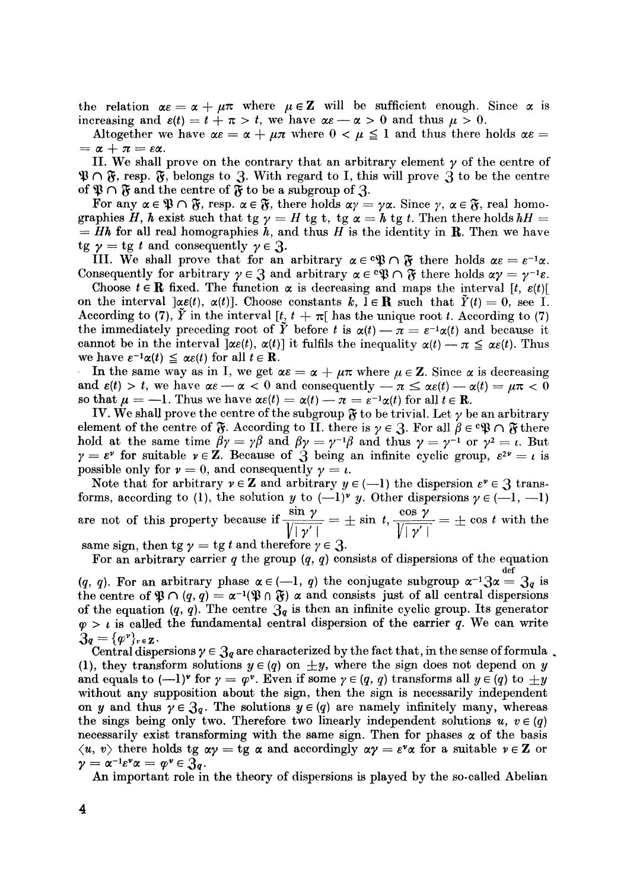the relation  $\alpha \varepsilon = \alpha + \mu \pi$  where  $\mu \in \mathbb{Z}$  will be sufficient enough. Since  $\alpha$  is increasing and  $\varepsilon(t) = t + \pi > t$ , we have  $\alpha \varepsilon - \alpha > 0$  and thus  $\mu > 0$ .

Altogether we have  $\alpha \varepsilon = \alpha + \mu \pi$  where  $0 < \mu \leq 1$  and thus there holds  $\alpha \varepsilon =$  $= \alpha + \pi = \varepsilon \alpha$ .

II. We shall prove on the contrary that an arbitrary element  $\gamma$  of the centre of  $\mathfrak{P} \cap \mathfrak{F}$ , resp.  $\mathfrak{F}$ , belongs to 3. With regard to I, this will prove 3 to be the centre of  $\mathfrak{P} \cap \mathfrak{F}$  and the centre of  $\mathfrak{\bar{F}}$  to be a subgroup of  $\mathfrak 3$ 

For any  $\alpha \in \mathfrak{P} \cap \mathfrak{F}$ , resp.  $\alpha \in \mathfrak{F}$ , there holds  $\alpha y = \gamma \alpha$ . Since  $\gamma$ ,  $\alpha \in \mathfrak{F}$ , real homographies H, h exist such that tg  $\gamma = H$  tg t, tg  $\alpha = h$  tg t. Then there holds  $hH =$  $= Hh$  for all real homographies h, and thus H is the identity in **R**. Then we have *tg*  $\gamma = \text{tg } t$  and consequently  $\gamma \in \mathcal{R}$ .

III. We shall prove that for an arbitrary  $\alpha \in \mathfrak{P} \cap \mathfrak{F}$  there holds  $\alpha \varepsilon = \varepsilon^{-1} \alpha$ . Consequently for arbitrary  $\gamma \in \mathcal{S}$  and arbitrary  $\alpha \in \mathfrak{B} \cap \mathfrak{F}$  there holds  $\alpha \gamma = \gamma^{-1} \varepsilon$ .

Choose  $t \in \mathbb{R}$  fixed. The function  $\alpha$  is decreasing and maps the interval  $[t, \varepsilon(t)]$ on the interval  $\alpha e(t)$ ,  $\alpha(t)$ . Choose constants  $k, \, l \in \mathbb{R}$  such that  $\tilde{Y}(t) = 0$ , see I. According to (7),  $\tilde{Y}$  in the interval [t,  $t + \pi$ ] has the unique root t. According to (7) the immediately preceding root of  $\tilde{Y}$  before t is  $\alpha(t) - \pi = \varepsilon^{-1} \alpha(t)$  and because it cannot be in the interval  $\alpha(t)$ ,  $\alpha(t)$  it fulfils the inequality  $\alpha(t) - \pi \leq \alpha \varepsilon(t)$ . Thus we have  $\varepsilon^{-1} \alpha(t) \leq \alpha \varepsilon(t)$  for all  $t \in \mathbf{R}$ .

In the same way as in I, we get  $\alpha \varepsilon = \alpha + \mu \pi$  where  $\mu \in \mathbb{Z}$ . Since  $\alpha$  is decreasing and  $\varepsilon(t) > t$ , we have  $\alpha \varepsilon - \alpha < 0$  and consequently  $-\pi \leq \alpha \varepsilon(t) - \alpha(t) = \mu \pi < 0$ so that  $\mu = -1$ . Thus we have  $\alpha \varepsilon(t) = \alpha(t) - \pi = \varepsilon^{-1} \alpha(t)$  for all  $t \in \mathbb{R}$ .

IV. We shall prove the centre of the subgroup  $\mathfrak{F}$  to be trivial. Let  $\gamma$  be an arbitrary element of the centre of  $\mathfrak F$ . According to II. there is  $\gamma \in \mathfrak Z$ . For all  $\beta \in \mathfrak P\mathfrak V \cap \mathfrak F$  there hold at the same time  $\beta \gamma = \gamma \beta$  and  $\beta \gamma = \gamma^{-1} \beta$  and thus  $\gamma = \gamma^{-1}$  or  $\gamma^2 = \iota$ . But  $\gamma = \varepsilon^{\nu}$  for suitable  $\nu \in \mathbb{Z}$ . Because of  $\hat{\beta}$  being an infinite cyclic group,  $\varepsilon^{2\nu} = \iota$  is possible only for  $\nu = 0$ , and consequently  $\nu = \iota$ .

Note that for arbitrary  $v \in \mathbb{Z}$  and arbitrary  $y \in (-1)$  the dispersion  $\varepsilon^v \in \mathbb{S}$  transforms, according to (1), the solution y to  $(-1)^y$  y. Other dispersions  $\gamma \in (-1, -1)$  $\sin \gamma$   $\cos \gamma$ are not of this property because if  $\frac{\sqrt{|\gamma'|}}{\sqrt{|\gamma'|}}$  =  $\pm$  sm  $\iota$ ,  $\frac{\sqrt{|\gamma'|}}{\sqrt{|\gamma'|}}$  =  $\pm$  cos  $\iota$  with the  $\text{efore } \gamma \in \mathcal{S}.$ 

For an arbitrary carrier  $q$  the group  $(q, q)$  consists of dispersions of the equation

q). For an arbitrary phase  $\alpha \in (-1, q)$  the conjugate subgroup  $\alpha^{-1} \mathfrak{Z} \alpha = \mathfrak{Z}_q$  is the centre of  $\mathfrak{P} \cap (q, q) = \alpha^{-1}(\mathfrak{P} \cap \mathfrak{F})$  a and consists just of all central dispersions of the equation  $(q, q)$ . The centre  $\mathfrak{Z}_q$  is then an infinite cyclic group. Its generator  $\varphi > \iota$  is called the fundamental central dispersion of the carrier  $\tilde{q}$ . We can write  $\mathfrak{Z}_q = {\{\varphi^v\}}_{v \in \mathbf{Z}}$ .

Central dispersions  $\gamma \in \mathfrak{Z}_q$  are characterized by the fact that, in the sense of formula. (1), they transform solutions  $y \in (q)$  on  $\pm y$ , where the sign does not depend on y and equals to  $(-1)^{y}$  for  $y = \varphi^{y}$ . Even if some  $y \in (q, q)$  transforms all  $y \in (q)$  to  $+y$ without any supposition about the sign, then the sign is necessarily independent on y and thus  $\gamma \in \mathfrak{Z}_q$ . The solutions  $y \in (q)$  are namely infinitely many, whereas the sings being only two. Therefore two linearly independent solutions  $u, v \in (q)$ necessarily exist transforming with the same sign. Then for phases  $\alpha$  of the basis  $\langle u, v \rangle$  there holds tg  $\alpha \gamma =$  tg  $\alpha$  and accordingly  $\alpha \gamma = \varepsilon^{\nu} \alpha$  for a suitable  $\nu \in \mathbb{Z}$  or  $\gamma = \alpha^{-1} \varepsilon^{\nu} \alpha = \varphi^{\nu} \in \mathfrak{Z}_q.$ 

An important role in An important role in the theory of dispersions is played by the so-called Abelian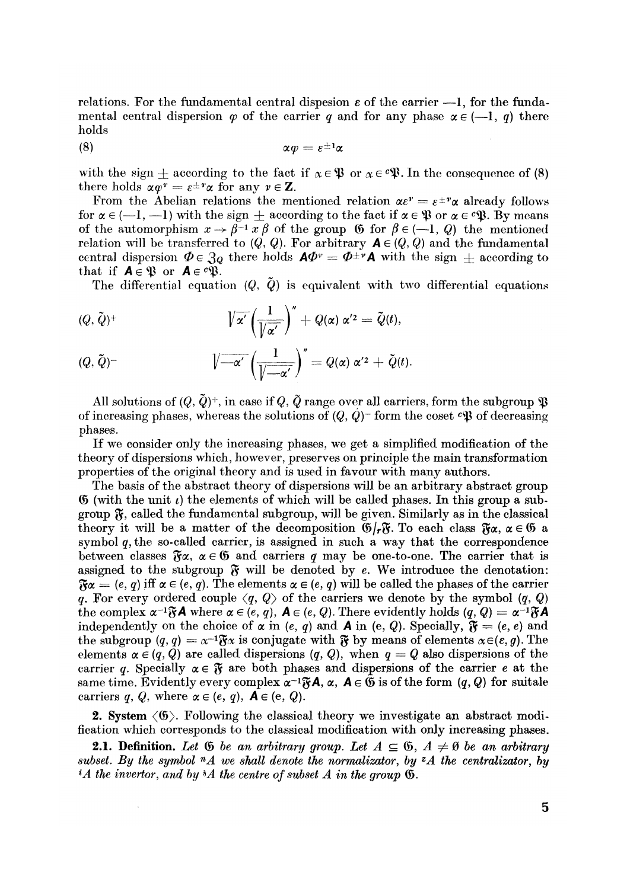relations. For the fundamental central dispesion  $\varepsilon$  of the carrier  $-1$ , for the fundamental central dispersion  $\varphi$  of the carrier q and for any phase  $\alpha \in (-1, q)$  there holds

$$
\alpha \varphi = \varepsilon^{\pm 1} \alpha
$$

with the sign  $\pm$  according to the fact if  $\alpha \in \mathfrak{P}$  or  $\alpha \in \mathfrak{P}$ . In the consequence of (8) there holds  $\alpha \varphi^r = \varepsilon^{\pm r} \alpha$  for any  $v \in \mathbf{Z}$ .

From the Abelian relations the mentioned relation  $\alpha \varepsilon^v = \varepsilon^{\pm v} \alpha$  already follows for  $\alpha \in (-1, -1)$  with the sign  $\pm$  according to the fact if  $\alpha \in \mathfrak{P}$  or  $\alpha \in \mathfrak{P}$ . By means of the automorphism  $x \to \beta^{-1} x \beta$  of the group  $\beta$  for  $\beta \in (-1, Q)$  the mentioned relation will be transferred to  $(Q, Q)$ . For arbitrary  $A \in (Q, Q)$  and the fundamental central dispersion  $\Phi \in \mathfrak{Z}_Q$  there holds  $\mathsf{A}\varPhi^v = \varPhi^{\pm v}\mathsf{A}$  with the sign  $\pm$  according to that if  $A \in \mathfrak{B}$  or  $A \in \mathfrak{C} \mathfrak{P}$ .

The differential equation  $(Q, \dot{Q})$  is equivalent with two differential equations

$$
\langle Q, \tilde{Q} \rangle^+ \qquad \qquad \mathcal{V}\overline{\alpha'} \left( \frac{1}{\sqrt{\alpha'}} \right)^{\prime\prime} + Q(\alpha) \alpha'^2 = \tilde{Q}(t),
$$

$$
(Q, \tilde{Q})^{-} \qquad \qquad \sqrt{-\alpha'}\left(\frac{1}{\sqrt{-\alpha'}}\right)^{''}=Q(\alpha) \alpha'^{2}+\check{Q}(t).
$$

All solutions of  $(Q,\tilde{Q})^+$ , in case if  $Q,\tilde{Q}$  range over all carriers, form the subgroup  $\mathfrak P$ of increasing phases, whereas the solutions of  $(Q, Q)$ <sup>-</sup> form the coset  $\epsilon \mathfrak{P}$  of decreasing phases.

If we consider onl*y* the increasing phases, we get a simplified modification of the theor*y* of dispersions which, however, preserves on principle the main transformation properties of the original theory and is used in favour with man*y* authors.

The basis of the abstract theor*y* of dispersions will be an arbitrar*y* abstract group  $\mathfrak G$  (with the unit  $\iota$ ) the elements of which will be called phases. In this group a subgroup 5, called the fundamental subgroup, will be given. Similarl*y* as in the classical theory it will be a matter of the decomposition  $\mathfrak{G}/r\mathfrak{F}$ . To each class  $\mathfrak{F}\alpha, \alpha \in \mathfrak{G}$  a s*y*mbol *q,* the so-called carrier, is assigned in such a wa*y* that the correspondence between classes  $\mathfrak{F}\alpha$ ,  $\alpha \in \mathfrak{G}$  and carriers q may be one-to-one. The carrier that is assigned to the subgroup  $\mathfrak{F}$  will be denoted by e. We introduce the denotation:  $\mathfrak{F}\alpha = (e, q)$  iff  $\alpha \in (e, q)$ . The elements  $\alpha \in (e, q)$  will be called the phases of the carrier *q.* For every ordered couple  $\langle q, Q \rangle$  of the carriers we denote by the symbol  $(q, Q)$ the complex  $\alpha^{-1}\mathfrak{F}\mathbf{A}$  where  $\alpha \in (e, q)$ ,  $\mathbf{A} \in (e, Q)$ . There evidently holds  $(q, Q) = \alpha^{-1}\mathfrak{F}\mathbf{A}$ independently on the choice of  $\alpha$  in (e, q) and **A** in (e, Q). Specially,  $\mathfrak{F} = (e, e)$  and the subgroup  $(q, q) = \alpha^{-1}\mathfrak{F}\alpha$  is conjugate with  $\mathfrak{F}$  by means of elements  $\alpha \in (\varepsilon, q)$ . The elements  $\alpha \in (q, Q)$  are called dispersions  $(q, Q)$ , when  $q = Q$  also dispersions of the carrier q. Specially  $\alpha \in \mathfrak{F}$  are both phases and dispersions of the carrier e at the same time. Evidently every complex  $\alpha^{-1}\mathfrak{F}\mathbf{A}, \alpha$ ,  $\mathbf{A} \in \mathfrak{G}$  is of the form  $(q, Q)$  for suitale carriers q, Q, where  $\alpha \in (e, q)$ ,  $A \in (e, Q)$ .

2. System <©>. Following the classical theor*y* we investigate an abstract modification which corresponds to the classical modification with onl*y* increasing phases*.* 

**2.1. Definition.** Let G be an arbitrary group. Let  $A \subseteq G$ ,  $A \neq \emptyset$  be an arbitrary *subset. By the symbol <sup>n</sup>A we shall denote the normalizator, by <sup>Z</sup>A the centralizator, by*  <sup>*i*</sup>A the invertor, and by  $^{\frac{1}{2}}A$  the centre of subset A in the group  $\mathfrak{G}$ .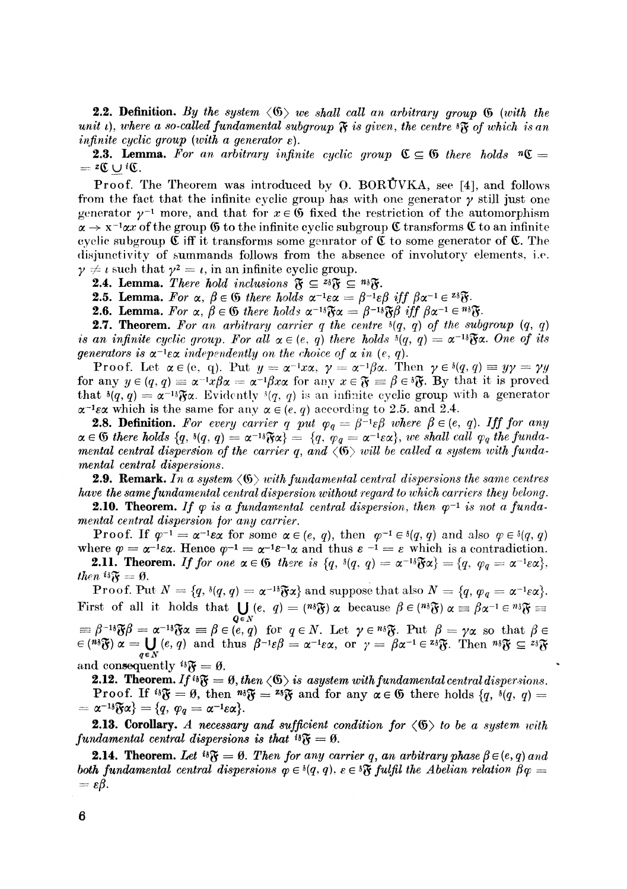**2.2. Definition.** By the system  $\langle \mathfrak{G} \rangle$  we shall call an arbitrary group  $\mathfrak{G}$  (with the *unit i), where a so-called fundamental subgroup*  $\mathfrak{F}$  *is given, the centre*  $\mathfrak{F}$  *of which is an infinite cuclic group (with a generator*  $\varepsilon$ *).* 

**2.3. Lemma.** For an arbitrary infinite cyclic group  $\mathfrak{C} \subseteq \mathfrak{G}$  there holds  $\mathfrak{n} \mathfrak{C} =$ 

Proof. The Theorem was introduced by O. BORUVKA, see [4], and follows from the fact that the infinite cyclic group has with one generator  $\gamma$  still just one generator  $\gamma^{-1}$  more, and that for  $x \in \mathfrak{G}$  fixed the restriction of the automorphism  $\alpha \to x^{-1} \alpha x$  of the group  $\mathfrak G$  to the infinite cyclic subgroup  $\mathfrak C$  transforms  $\mathfrak C$  to an infinite cyclic subgroup  $\mathfrak C$  iff it transforms some genrator of  $\mathfrak C$  to some generator of  $\mathfrak C$ . The disjunctivity of summands follows from the absence of mvolutory elements, i.e.  $\gamma \neq i$  such that  $\gamma^2 = i$ , in an infinite cyclic group.

**2.4. Lemma.** There hold inclusions  $\mathfrak{F} \subseteq {}^{z_{3}}\mathfrak{F} \subseteq {}^{n_{3}}\mathfrak{F}$ 

**2.5. Lemma.** For  $\alpha$ ,  $\beta \in \mathfrak{G}$  there holds  $\alpha^{-1}\varepsilon\alpha = \beta^{-1}\varepsilon\beta$  iff  $\beta\alpha^{-1} \in \mathbb{Z}^3 \mathfrak{F}$ .

**2.6. Lemma.** For  $\alpha$ ,  $\beta \in \mathfrak{G}$  there holds  $\alpha^{-1}\delta\mathfrak{F}\alpha = \beta^{-1}\delta\mathfrak{F}\beta$  iff  $\beta\alpha^{-1} \in \mathfrak{m}\delta\mathfrak{F}$ .

**2.7. Theorem.** For an arbitrary carrier  $q$  the centre  $\partial(q, q)$  of the subgroup  $(q, q)$ *is an infinite cyclic group. For all*  $\alpha \in (e, q)$  there holds  $\mathcal{E}(q, q) = \alpha^{-1} \delta \mathbf{\widetilde{y}} \alpha$ . One of its *generators is*  $\alpha^{-1} \epsilon \alpha$  *independently on the choice of*  $\alpha$  *in* (*e, q*).

**Proof.** Let  $\alpha \in (e, q)$ . Put  $y = \alpha^{-1}x\alpha$ ,  $\gamma = \alpha^{-1}\beta\alpha$ . Then  $\gamma \in \mathcal{E}(q, q) \equiv y\gamma = \gamma y$ for any  $y \in (q, q) \equiv \alpha^{-1}x\beta\alpha = \alpha^{-1}\beta x\alpha$  for any  $x \in \mathfrak{F} \equiv \beta \in \mathfrak{F}.$  By that it is proved that  $^{3}(q, q) = \alpha^{-1} \mathfrak{F} \alpha$ . Evidently  $^{3}(q, q)$  is an infinite cyclic group with a generator  $\alpha^{-1}\epsilon\alpha$  which is the same for any  $\alpha \in (e, q)$  according to 2.5. and 2.4.

**2.8. Definition.** For every carrier q put  $\varphi_q = \beta^{-1} \varepsilon \beta$  where  $\beta \in (e, q)$ . Iff for any  $\alpha \in \mathfrak{G}$  there holds  $\{q, \delta(q, q) = \alpha^{-1} \delta \mathfrak{F} \alpha\} = \{q, \varphi_q = \alpha^{-1} \varepsilon \alpha\},\, we\, shall\, call\, \varphi_q\, the\, funda-1\}$ *mental central dispersion of the carrier q, and*  $\langle \mathfrak{G} \rangle$  will be called a system with funda*mental central dispersions.* 

**2.9. Remark.** In a system  $\langle \mathfrak{G} \rangle$  with fundamental central dispersions the same centres *have the same fundamental central dispersion ivithout regard to which carriers they belong.* 

**2.10. Theorem.** If  $\varphi$  is a fundamental central dispersion, then  $\varphi^{-1}$  is not a funda*mental central dispersion for any carrier.* 

**Proof.** If  $\varphi^{-1} = \alpha^{-1} \varepsilon \alpha$  for some  $\alpha \in (e, q)$ , then  $\varphi^{-1} \in \delta(q, q)$  and also  $\varphi \in \delta(q, q)$ where  $\varphi = \alpha^{-1} \varepsilon \alpha$ . Hence  $\varphi^{-1} = \alpha^{-1} \varepsilon^{-1} \alpha$  and thus  $\varepsilon^{-1} = \varepsilon$  which is a contradiction.

**2.11. Theorem.** If for one  $\alpha \in \mathfrak{G}$  there is  $\{q, \delta(q, q) = \alpha^{-1} \delta \mathfrak{F} \alpha\} = \{q, \varphi_q = \alpha^{-1} \epsilon \alpha\}$ . *then*  $i\delta\mathfrak{F} = \emptyset$ .

Proof. Put  $N = \{q, \delta(q, q) = \alpha^{-1\delta} \mathfrak{F}\alpha\}$  and suppose that also  $N = \{q, \varphi_q = \alpha^{-1}\varepsilon\alpha\}$ . First of all it holds that  $\bigcup_{n=1}^{\infty} (e, q) = {n \mathfrak{F}} \times \mathfrak{g}$  because  $\beta \in {n \mathfrak{F}} \times \mathfrak{g}$   $\alpha \equiv \beta \alpha^{-1} \in {n \mathfrak{F}} \equiv 0$ *QeN*   $P_{\rm eff} = \frac{p}{\sqrt{6}}$   $P_{\rm eff} = \frac{p}{\sqrt{6}}$  (e.g) for  $q = 1$ , Let  $\gamma = \frac{p}{\sqrt{6}}$ . Put  $p = \frac{p}{\sqrt{6}}$  so that  $p = \frac{p}{\sqrt{6}}$  $e^{i\theta}$  ( $e^{i\theta}$ ) and thus  $\rho^{-1}e\rho = \alpha^{-1}e\alpha$ , or  $\gamma = \rho\alpha^{-1}e^{-i\theta}$  . Then  $m\gamma$   $\gamma = \alpha$ and consequently  $i\delta \mathfrak{F} = \emptyset$ .

**2.12. Theorem.** If  $i\mathfrak{F} = \mathfrak{G}$ , then  $\langle \mathfrak{G} \rangle$  is asystem with fundamental central dispersions.  $2.12.12 \times 10^{-10}$   $\frac{10^{-10}}{2}$  is  $\frac{1000 \times 10^{10}}{2}$  is  $\frac{1000 \times 10^{10}}{2}$  for  $\frac{1000 \times 10^{10}}{2}$  for  $\frac{1000 \times 10^{10}}{2}$  for  $\frac{1000 \times 10^{10}}{2}$  for  $\frac{1000 \times 10^{10}}{2}$  for  $\frac{1000 \times 10^{10}}{2}$  for  $\frac$  $\mathbf{F}$  = 0, then  $\mathbf{F}$  =  $\mathbf{F}$  and for any  $\mathbf{a} \in \mathbf{v}$  direct holds  $\{q, \gamma(q, q) = \mathbf{v}^{-1}(\mathbf{a}, \mathbf{a}) = \mathbf{a} \cdot \mathbf{a} \cdot \mathbf{a} = \mathbf{v}^{-1}(\mathbf{a})\}$  $=\alpha^{-1}\delta\mathfrak{F}\alpha\} = \{q, \varphi_q = \alpha^{-1}\varepsilon\alpha\}.$ 

**2.13. Corollary.** A necessary and sufficient condition for  $\langle \mathfrak{G} \rangle$  to be a system with *fundamental central dispersions is that*  $i\delta \mathbf{\tilde{y}} = \emptyset$ .

**2.14. Theorem.** Let  $i\mathfrak{F} = \emptyset$ . Then for any carrier q, an arbitrary phase  $\beta \in (e, q)$  and both fundamental central dispersions  $\varphi \in {}^{\mathfrak{z}}(q, q),$   $\varepsilon \in {}^{\mathfrak{z}}\mathfrak{F}$  fulfil the Abelian relation  $\beta \varphi =$  $=\varepsilon\beta$ .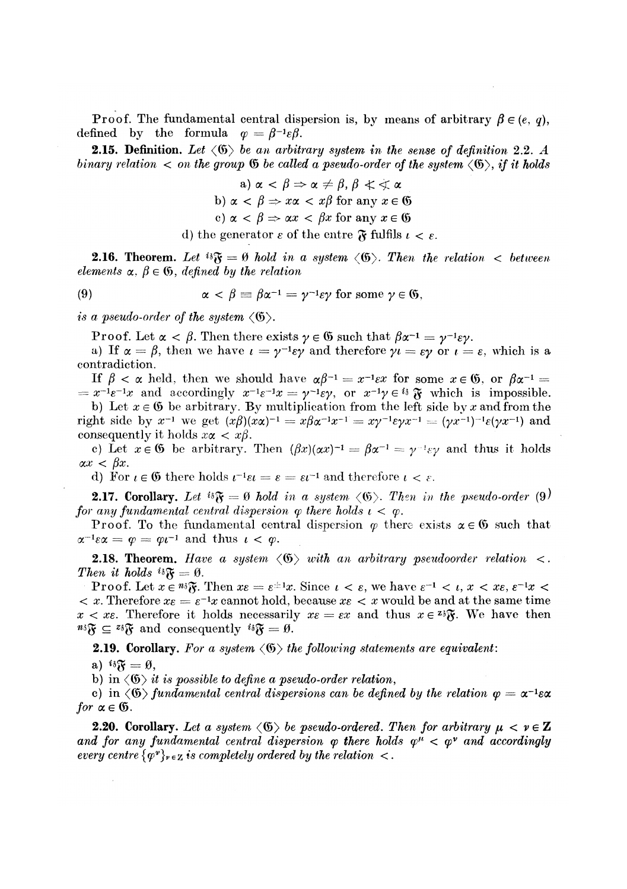Proof. The fundamental central dispersion is, by means of arbitrary  $\beta \in (e, q)$ , defined by the formula  $\varphi = \beta^{-1} \varepsilon \beta$ .

2.15. Definition. *Let* <©) *b*e *an arbitrary system in the sense of definition* 2.2. *A binary relation*  $\lt$  *on the group*  $\mathfrak G$  *be called a pseudo-order of the system*  $\langle \mathfrak G \rangle$ *, if it holds* 

> a)  $\alpha < \beta \Rightarrow \alpha \neq \beta, \beta \leq \alpha$ b)  $\alpha < \beta \Rightarrow x\alpha < x\beta$  for any  $x \in \mathfrak{G}$ c)  $\alpha < \beta \Rightarrow \alpha x < \beta x$  for any  $x \in \mathfrak{G}$

d) the generator  $\varepsilon$  of the entre  $\tilde{\mathbf{w}}$  fulfils  $t < \varepsilon$ .

**2.16.** Theorem. Let  ${}^{i\dot{i}}\mathfrak{F} = \emptyset$  hold in a system  $\langle \mathfrak{G} \rangle$ . Then the relation  $\langle$  between *elements*  $\alpha$ ,  $\beta \in \mathfrak{G}$ , *defined by the relation* 

(9) 
$$
\alpha < \beta \equiv \beta \alpha^{-1} = \gamma^{-1} \varepsilon \gamma \text{ for some } \gamma \in \mathfrak{G},
$$

*is a pseudo-order of the system*  $\langle \mathfrak{G} \rangle$ .

Proof. Let  $\alpha < \beta$ . Then there exists  $\gamma \in \mathfrak{G}$  such that  $\beta \alpha^{-1} = \gamma^{-1} \varepsilon \gamma$ .

a) If  $\alpha = \beta$ , then we have  $\iota = \gamma^{-1} \epsilon \gamma$  and therefore  $\gamma \iota = \epsilon \gamma$  or  $\iota = \epsilon$ , which is a contradiction.

*If*  $\beta < \alpha$  held, then we should have  $\alpha\beta^{-1} = x^{-1}\epsilon x$  for some  $x \in \mathfrak{G}$ , or  $\beta\alpha^{-1} =$  $x^{-1}e^{-1}x$  and accordingly  $x^{-1}e^{-1}x = y^{-1}e\gamma$ , or  $x^{-1}\gamma \in \mathbb{S}$  which is impossible.

b) Let  $x \in \mathfrak{G}$  be arbitrary. By multiplication from the left side by x and from the right side by  $x^{-1}$  we get  $(x\beta)(x\alpha)^{-1} = x\beta\alpha^{-1}x^{-1} = x\gamma^{-1}\epsilon\gamma x^{-1} = (\gamma x^{-1})^{-1}\epsilon(\gamma x^{-1})$  and consequently it holds  $x\alpha < x\beta$ .

c) Let  $x \in \mathfrak{G}$  be arbitrary. Then  $(\beta x)(\alpha x)^{-1} = \beta \alpha^{-1} = \gamma^{-1} \varepsilon \gamma$  and thus it holds  $\alpha x < \beta x$ .

d) For  $\iota \in \mathfrak{G}$  there holds  $\iota^{-1}\varepsilon \iota = \varepsilon = \varepsilon \iota^{-1}$  and therefore  $\iota < \varepsilon$ .

**2.17. Corollary.** Let  $^{i*}\mathfrak{F} = \emptyset$  hold in a system  $\langle \mathfrak{G} \rangle$ . Then in the pseudo-order (9) *for any fundamental central dispersion*  $\varphi$  *there holds*  $\iota < \varphi$ *.* 

Proof. To the fundamental central dispersion  $\varphi$  there exists  $\alpha \in \mathfrak{G}$  such that  $\alpha^{-1}\varepsilon\alpha = \varphi = \varphi t^{-1}$  and thus  $t < \varphi$ .

**2.18. Theorem.** Have a system  $\langle \mathfrak{G} \rangle$  with an arbitrary pseudoorder relation  $\langle \cdot \rangle$ . *Then it holds*  $^{i_{3}}\mathfrak{F} = \emptyset$ .

Proof. Let  $x \in \mathbb{R}^3$ . Then  $x\varepsilon = \varepsilon^{\pm 1}x$ . Since  $\iota < \varepsilon$ , we have  $\varepsilon^{-1} < \iota$ ,  $x < x\varepsilon$ ,  $\varepsilon^{-1}x < \varepsilon$  $x \leq x$ . Therefore  $x \in e^{-x}$  cannot hold, because  $x \in x$  would be and at the same time  $x < x_{\epsilon}$ . Therefore it holds necessarily  $x_{\epsilon} = \epsilon x$  and thus  $x \in \infty^3$ . We have then  $m\mathfrak{F} \subseteq \mathfrak{F} \mathfrak{F}$  and consequently  $\mathfrak{F} = \mathfrak{G}$ .

**2.19. Corollary.** For a system  $\langle \mathfrak{G} \rangle$  the following statements are equivalent:

a)  $i\delta \mathbf{\mathcal{F}} = \mathbf{\theta}$ ,

b) in  $\langle \mathfrak{G} \rangle$  *it is possible to define a pseudo-order relation,* 

c) in  $\langle \mathfrak{G} \rangle$  fundamental central dispersions can be defined by the relation  $\varphi = \alpha^{-1}e\alpha$ *for*  $\alpha \in \mathfrak{G}$ .

**2.20. Corollary.** Let a system  $\langle \mathfrak{G} \rangle$  be pseudo-ordered. Then for arbitrary  $\mu < \nu \in \mathbb{Z}$ and for any fundamental central dispersion  $\varphi$  there holds  $\varphi^{\mu} < \varphi^{\nu}$  and accordingly  $every$  centre  $\{ \varphi^v \}_{v \, \in \, \mathbb{Z}}$  is completely ordered by the relation  $\lt$ .